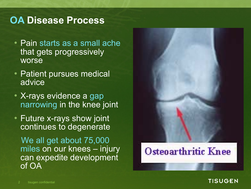### **OA Disease Process**

- Pain starts as a small ache that gets progressively worse
- Patient pursues medical advice<sup>1</sup>
- X-rays evidence a gap narrowing in the knee joint
- Future x-rays show joint continues to degenerate

We all get about 75,000 miles on our knees – injury can expedite development of OA

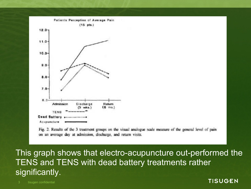

Fig. 2. Results of the 3 treatment groups on the visual analogue scale measure of the general level of pain on an average day at admission, discharge, and return visits.

This graph shows that electro-acupuncture out-performed the TENS and TENS with dead battery treatments rather significantly.

3 tisugen confidential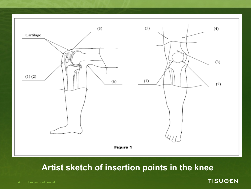

### **Artist sketch of insertion points in the knee**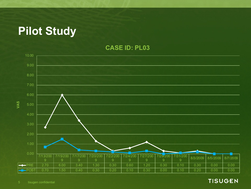### **Pilot Study**

**CASE ID: PL03**

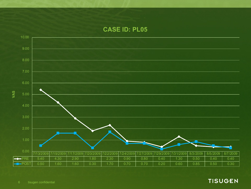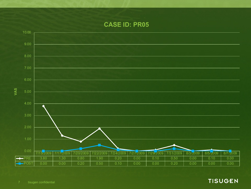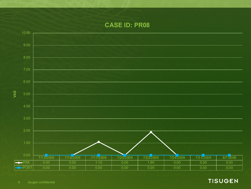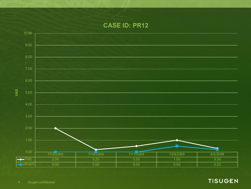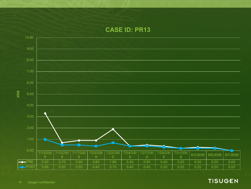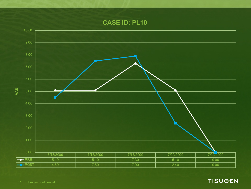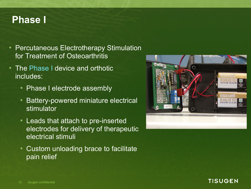### **Phase I**

- Percutaneous Electrotherapy Stimulation for Treatment of Osteoarthritis
- The Phase I device and orthotic includes:
	- Phase I electrode assembly
	- Battery-powered miniature electrical stimulator
	- Leads that attach to pre-inserted electrodes for delivery of therapeutic electrical stimuli
	- Custom unloading brace to facilitate pain relief



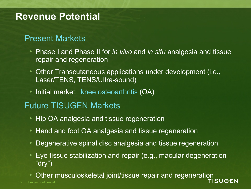### **Revenue Potential**

### Present Markets

- Phase I and Phase II for *in vivo* and *in situ* analgesia and tissue repair and regeneration
- Other Transcutaneous applications under development (i.e., Laser/TENS, TENS/Ultra-sound)
- Initial market: knee osteoarthritis (OA)

### Future TISUGEN Markets

- Hip OA analgesia and tissue regeneration
- Hand and foot OA analgesia and tissue regeneration
- Degenerative spinal disc analgesia and tissue regeneration
- Eye tissue stabilization and repair (e.g., macular degeneration "dry")
- 13 tisugen confidential • Other musculoskeletal joint/tissue repair and regeneration<br>TISUGEN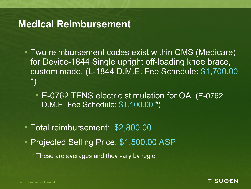### **Medical Reimbursement**

- Two reimbursement codes exist within CMS (Medicare) for Device-1844 Single upright off-loading knee brace, custom made. (L-1844 D.M.E. Fee Schedule: \$1,700.00 \*)
	- E-0762 TENS electric stimulation for OA. (E-0762 D.M.E. Fee Schedule: \$1,100.00 \*)

- Total reimbursement: \$2,800.00
- Projected Selling Price: \$1,500.00 ASP
	- \* These are averages and they vary by region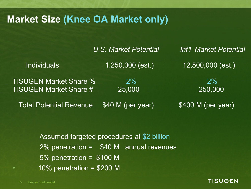### **Market Size (Knee OA Market only)**

|                                | U.S. Market Potential | Int'l Market Potential |
|--------------------------------|-----------------------|------------------------|
| <b>Individuals</b>             | 1,250,000 (est.)      | 12,500,000 (est.)      |
| <b>TISUGEN Market Share %</b>  | $2\%$                 | $2\%$                  |
| <b>TISUGEN Market Share #</b>  | 25,000                | 250,000                |
| <b>Total Potential Revenue</b> | \$40 M (per year)     | \$400 M (per year)     |

Assumed targeted procedures at \$2 billion 2% penetration = \$40 M annual revenues 5% penetration = \$100 M  $\bullet$  10% penetration = \$200 M

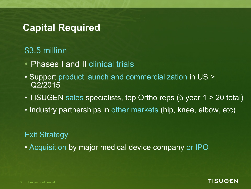### **Capital Required**

### \$3.5 million

- Phases I and II clinical trials
- Support product launch and commercialization in US > Q2/2015
- TISUGEN sales specialists, top Ortho reps (5 year 1 > 20 total)
- Industry partnerships in other markets (hip, knee, elbow, etc)

### Exit Strategy

• Acquisition by major medical device company or IPO